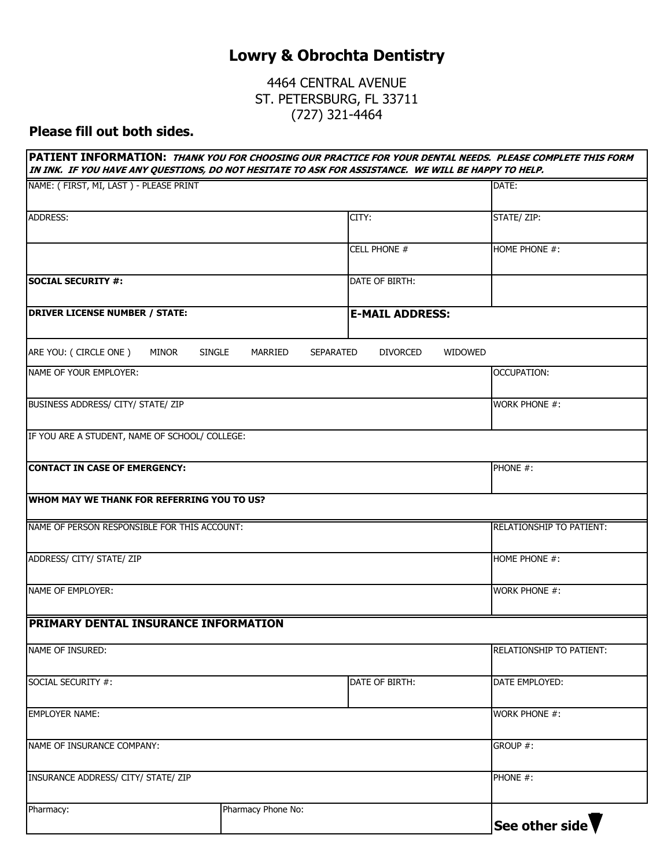## **Lowry & Obrochta Dentistry**

4464 CENTRAL AVENUE ST. PETERSBURG, FL 33711 (727) 321-4464

## **Please fill out both sides.**

| NAME: (FIRST, MI, LAST) - PLEASE PRINT            |                          |                                     | DATE:                           |  |
|---------------------------------------------------|--------------------------|-------------------------------------|---------------------------------|--|
| <b>ADDRESS:</b>                                   |                          | CITY:                               | STATE/ ZIP:                     |  |
|                                                   |                          | CELL PHONE #                        | HOME PHONE #:                   |  |
|                                                   |                          |                                     |                                 |  |
| <b>SOCIAL SECURITY #:</b>                         |                          | DATE OF BIRTH:                      |                                 |  |
| <b>DRIVER LICENSE NUMBER / STATE:</b>             |                          | <b>E-MAIL ADDRESS:</b>              |                                 |  |
| ARE YOU: ( CIRCLE ONE )<br>MINOR                  | <b>SINGLE</b><br>MARRIED | <b>DIVORCED</b><br><b>SEPARATED</b> | <b>WIDOWED</b>                  |  |
| NAME OF YOUR EMPLOYER:                            |                          |                                     | OCCUPATION:                     |  |
| BUSINESS ADDRESS/ CITY/ STATE/ ZIP                |                          |                                     | WORK PHONE #:                   |  |
| IF YOU ARE A STUDENT, NAME OF SCHOOL/ COLLEGE:    |                          |                                     |                                 |  |
| CONTACT IN CASE OF EMERGENCY:                     |                          |                                     | PHONE #:                        |  |
| <b>WHOM MAY WE THANK FOR REFERRING YOU TO US?</b> |                          |                                     |                                 |  |
| NAME OF PERSON RESPONSIBLE FOR THIS ACCOUNT:      |                          |                                     | <b>RELATIONSHIP TO PATIENT:</b> |  |
| ADDRESS/ CITY/ STATE/ ZIP                         |                          |                                     | HOME PHONE #:                   |  |
| NAME OF EMPLOYER:                                 |                          |                                     | <b>WORK PHONE #:</b>            |  |
| <b>PRIMARY DENTAL INSURANCE INFORMATION</b>       |                          |                                     |                                 |  |
| NAME OF INSURED:                                  |                          |                                     | RELATIONSHIP TO PATIENT:        |  |
| SOCIAL SECURITY #:                                |                          | DATE OF BIRTH:                      | DATE EMPLOYED:                  |  |
| <b>EMPLOYER NAME:</b>                             |                          |                                     | <b>WORK PHONE #:</b>            |  |
| NAME OF INSURANCE COMPANY:                        |                          |                                     | GROUP #:                        |  |
| INSURANCE ADDRESS/ CITY/ STATE/ ZIP               |                          |                                     | PHONE #:                        |  |
| Pharmacy:                                         | Pharmacy Phone No:       |                                     | See other side                  |  |